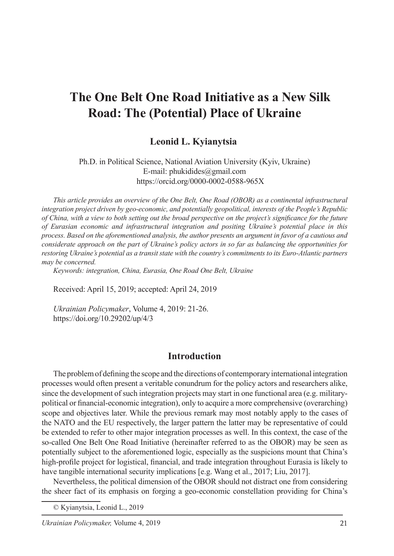# **The One Belt One Road Initiative as a New Silk Road: The (Potential) Place of Ukraine**

#### Leonid L. Kyianytsia

Ph.D. in Political Science, National Aviation University (Kyiv, Ukraine) E-mail: phukidides@gmail.com https://orcid.org/0000-0002-0588-965X

*This article provides an overview of the One Belt, One Road (OBOR) as a continental infrastructural integration project driven by geo-economic, and potentially geopolitical, interests of the People's Republic of China, with a view to both setting out the broad perspective on the project's significance for the future of Eurasian economic and infrastructural integration and positing Ukraine's potential place in this process. Based on the aforementioned analysis, the author presents an argument in favor of a cautious and considerate approach on the part of Ukraine's policy actors in so far as balancing the opportunities for restoring Ukraine's potential as a transit state with the country's commitments to its Euro-Atlantic partners may be concerned.*

*Keywords: integration, China, Eurasia, One Road One Belt, Ukraine*

Received: April 15, 2019; accepted: April 24, 2019

*Ukrainian Policymaker*, Volume 4, 2019: 21-26. https://doi.org/10.29202/up/4/3

#### **Introduction**

The problem of defining the scope and the directions of contemporary international integration processes would often present a veritable conundrum for the policy actors and researchers alike, since the development of such integration projects may start in one functional area (e.g. militarypolitical or financial-economic integration), only to acquire a more comprehensive (overarching) scope and objectives later. While the previous remark may most notably apply to the cases of the NATO and the EU respectively, the larger pattern the latter may be representative of could be extended to refer to other major integration processes as well. In this context, the case of the so-called One Belt One Road Initiative (hereinafter referred to as the OBOR) may be seen as potentially subject to the aforementioned logic, especially as the suspicions mount that China's high-profile project for logistical, financial, and trade integration throughout Eurasia is likely to have tangible international security implications [e.g. Wang et al., 2017; Liu, 2017].

Nevertheless, the political dimension of the OBOR should not distract one from considering the sheer fact of its emphasis on forging a geo-economic constellation providing for China's

<sup>©</sup> Kyianytsia, Leonid L., 2019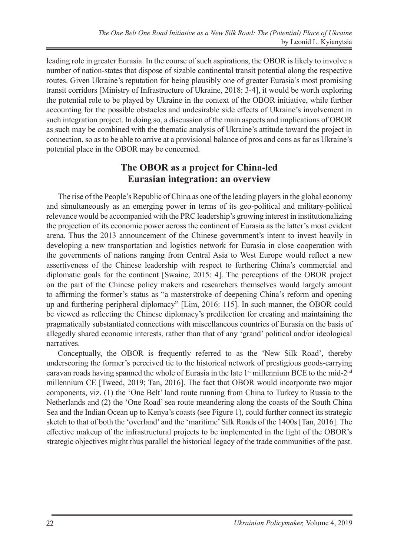leading role in greater Eurasia. In the course of such aspirations, the OBOR is likely to involve a number of nation-states that dispose of sizable continental transit potential along the respective routes. Given Ukraine's reputation for being plausibly one of greater Eurasia's most promising transit corridors [Ministry of Infrastructure of Ukraine, 2018: 3-4], it would be worth exploring the potential role to be played by Ukraine in the context of the OBOR initiative, while further accounting for the possible obstacles and undesirable side effects of Ukraine's involvement in such integration project. In doing so, a discussion of the main aspects and implications of OBOR as such may be combined with the thematic analysis of Ukraine's attitude toward the project in connection, so as to be able to arrive at a provisional balance of pros and cons as far as Ukraine's potential place in the OBOR may be concerned.

#### **The OBOR as a project for China-led Eurasian integration: an overview**

The rise of the People's Republic of China as one of the leading players in the global economy and simultaneously as an emerging power in terms of its geo-political and military-political relevance would be accompanied with the PRC leadership's growing interest in institutionalizing the projection of its economic power across the continent of Eurasia as the latter's most evident arena. Thus the 2013 announcement of the Chinese government's intent to invest heavily in developing a new transportation and logistics network for Eurasia in close cooperation with the governments of nations ranging from Central Asia to West Europe would reflect a new assertiveness of the Chinese leadership with respect to furthering China's commercial and diplomatic goals for the continent [Swaine, 2015: 4]. The perceptions of the OBOR project on the part of the Chinese policy makers and researchers themselves would largely amount to affirming the former's status as "a masterstroke of deepening China's reform and opening up and furthering peripheral diplomacy" [Lim, 2016: 115]. In such manner, the OBOR could be viewed as reflecting the Chinese diplomacy's predilection for creating and maintaining the pragmatically substantiated connections with miscellaneous countries of Eurasia on the basis of allegedly shared economic interests, rather than that of any 'grand' political and/or ideological narratives.

Conceptually, the OBOR is frequently referred to as the 'New Silk Road', thereby underscoring the former's perceived tie to the historical network of prestigious goods-carrying caravan roads having spanned the whole of Eurasia in the late  $1<sup>st</sup>$  millennium BCE to the mid- $2<sup>nd</sup>$ millennium CE [Tweed, 2019; Tan, 2016]. The fact that OBOR would incorporate two major components, viz. (1) the 'One Belt' land route running from China to Turkey to Russia to the Netherlands and (2) the 'One Road' sea route meandering along the coasts of the South China Sea and the Indian Ocean up to Kenya's coasts (see Figure 1), could further connect its strategic sketch to that of both the 'overland' and the 'maritime' Silk Roads of the 1400s [Tan, 2016]. The effective makeup of the infrastructural projects to be implemented in the light of the OBOR's strategic objectives might thus parallel the historical legacy of the trade communities of the past.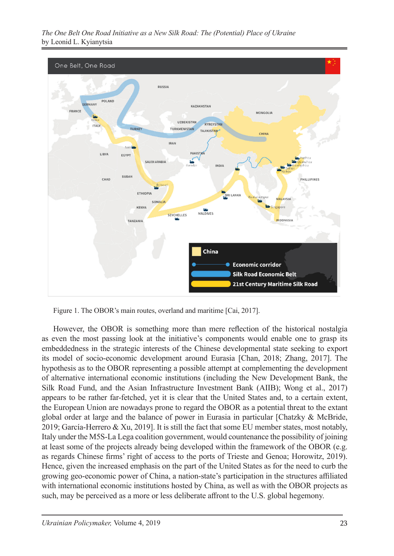*The One Belt One Road Initiative as a New Silk Road: The (Potential) Place of Ukraine* by Leonid L. Kyianytsia



Figure 1. The OBOR's main routes, overland and maritime [Cai, 2017].

However, the OBOR is something more than mere reflection of the historical nostalgia as even the most passing look at the initiative's components would enable one to grasp its embeddedness in the strategic interests of the Chinese developmental state seeking to export its model of socio-economic development around Eurasia [Chan, 2018; Zhang, 2017]. The hypothesis as to the OBOR representing a possible attempt at complementing the development of alternative international economic institutions (including the New Development Bank, the Silk Road Fund, and the Asian Infrastructure Investment Bank (AIIB); Wong et al., 2017) appears to be rather far-fetched, yet it is clear that the United States and, to a certain extent, the European Union are nowadays prone to regard the OBOR as a potential threat to the extant global order at large and the balance of power in Eurasia in particular [Chatzky & McBride, 2019; García-Herrero & Xu, 2019]. It is still the fact that some EU member states, most notably, Italy under the M5S-La Lega coalition government, would countenance the possibility of joining at least some of the projects already being developed within the framework of the OBOR (e.g. as regards Chinese firms' right of access to the ports of Trieste and Genoa; Horowitz, 2019). Hence, given the increased emphasis on the part of the United States as for the need to curb the growing geo-economic power of China, a nation-state's participation in the structures affiliated with international economic institutions hosted by China, as well as with the OBOR projects as such, may be perceived as a more or less deliberate affront to the U.S. global hegemony.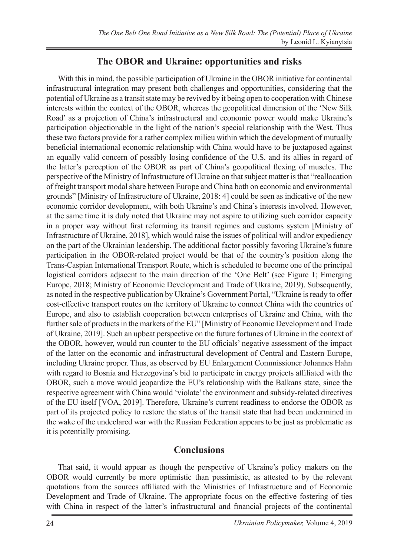### **The OBOR and Ukraine: opportunities and risks**

With this in mind, the possible participation of Ukraine in the OBOR initiative for continental infrastructural integration may present both challenges and opportunities, considering that the potential of Ukraine as a transit state may be revived by it being open to cooperation with Chinese interests within the context of the OBOR, whereas the geopolitical dimension of the 'New Silk Road' as a projection of China's infrastructural and economic power would make Ukraine's participation objectionable in the light of the nation's special relationship with the West. Thus these two factors provide for a rather complex milieu within which the development of mutually beneficial international economic relationship with China would have to be juxtaposed against an equally valid concern of possibly losing confidence of the U.S. and its allies in regard of the latter's perception of the OBOR as part of China's geopolitical flexing of muscles. The perspective of the Ministry of Infrastructure of Ukraine on that subject matter is that "reallocation of freight transport modal share between Europe and China both on economic and environmental grounds" [Ministry of Infrastructure of Ukraine, 2018: 4] could be seen as indicative of the new economic corridor development, with both Ukraine's and China's interests involved. However, at the same time it is duly noted that Ukraine may not aspire to utilizing such corridor capacity in a proper way without first reforming its transit regimes and customs system [Ministry of Infrastructure of Ukraine, 2018], which would raise the issues of political will and/or expediency on the part of the Ukrainian leadership. The additional factor possibly favoring Ukraine's future participation in the OBOR-related project would be that of the country's position along the Trans-Caspian International Transport Route, which is scheduled to become one of the principal logistical corridors adjacent to the main direction of the 'One Belt' (see Figure 1; Emerging Europe, 2018; Ministry of Economic Development and Trade of Ukraine, 2019). Subsequently, as noted in the respective publication by Ukraine's Government Portal, "Ukraine is ready to offer cost-effective transport routes on the territory of Ukraine to connect China with the countries of Europe, and also to establish cooperation between enterprises of Ukraine and China, with the further sale of products in the markets of the EU" [Ministry of Economic Development and Trade of Ukraine, 2019]. Such an upbeat perspective on the future fortunes of Ukraine in the context of the OBOR, however, would run counter to the EU officials' negative assessment of the impact of the latter on the economic and infrastructural development of Central and Eastern Europe, including Ukraine proper. Thus, as observed by EU Enlargement Commissioner Johannes Hahn with regard to Bosnia and Herzegovina's bid to participate in energy projects affiliated with the OBOR, such a move would jeopardize the EU's relationship with the Balkans state, since the respective agreement with China would 'violate' the environment and subsidy-related directives of the EU itself [VOA, 2019]. Therefore, Ukraine's current readiness to endorse the OBOR as part of its projected policy to restore the status of the transit state that had been undermined in the wake of the undeclared war with the Russian Federation appears to be just as problematic as it is potentially promising.

#### **Conclusions**

That said, it would appear as though the perspective of Ukraine's policy makers on the OBOR would currently be more optimistic than pessimistic, as attested to by the relevant quotations from the sources affiliated with the Ministries of Infrastructure and of Economic Development and Trade of Ukraine. The appropriate focus on the effective fostering of ties with China in respect of the latter's infrastructural and financial projects of the continental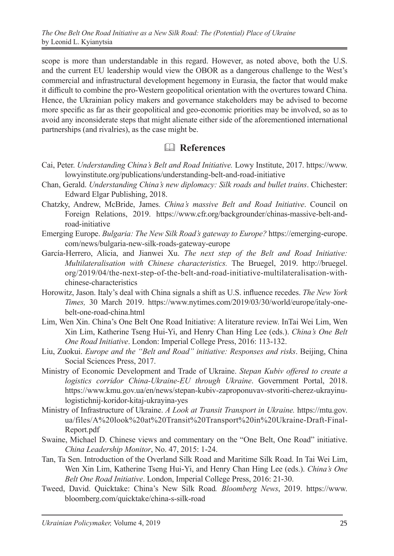scope is more than understandable in this regard. However, as noted above, both the U.S. and the current EU leadership would view the OBOR as a dangerous challenge to the West's commercial and infrastructural development hegemony in Eurasia, the factor that would make it difficult to combine the pro-Western geopolitical orientation with the overtures toward China. Hence, the Ukrainian policy makers and governance stakeholders may be advised to become more specific as far as their geopolitical and geo-economic priorities may be involved, so as to avoid any inconsiderate steps that might alienate either side of the aforementioned international partnerships (and rivalries), as the case might be.

## **References**

- Cai, Peter. *Understanding China's Belt and Road Initiative.* Lowy Institute, 2017. https://www. lowyinstitute.org/publications/understanding-belt-and-road-initiative
- Chan, Gerald. *Understanding China's new diplomacy: Silk roads and bullet trains*. Chichester: Edward Elgar Publishing, 2018.
- Chatzky, Andrew, McBride, James. *China's massive Belt and Road Initiative*. Council on Foreign Relations, 2019. https://www.cfr.org/backgrounder/chinas-massive-belt-androad-initiative
- Emerging Europe. *Bulgaria: The New Silk Road's gateway to Europe?* https://emerging-europe. com/news/bulgaria-new-silk-roads-gateway-europe
- García-Herrero, Alicia, and Jianwei Xu. *The next step of the Belt and Road Initiative: Multilateralisation with Chinese characteristics.* The Bruegel, 2019. http://bruegel. org/2019/04/the-next-step-of-the-belt-and-road-initiative-multilateralisation-withchinese-characteristics
- Horowitz, Jason. Italy's deal with China signals a shift as U.S. influence recedes. *The New York Times,* 30 March 2019. https://www.nytimes.com/2019/03/30/world/europe/italy-onebelt-one-road-china.html
- Lim, Wen Xin. China's One Belt One Road Initiative: A literature review. InTai Wei Lim, Wen Xin Lim, Katherine Tseng Hui-Yi, and Henry Chan Hing Lee (eds.). *China's One Belt One Road Initiative*. London: Imperial College Press, 2016: 113-132.
- Liu, Zuokui. *Europe and the "Belt and Road" initiative: Responses and risks*. Beijing, China Social Sciences Press, 2017.
- Ministry of Economic Development and Trade of Ukraine. *Stepan Kubiv offered to create a logistics corridor China-Ukraine-EU through Ukraine*. Government Portal, 2018. https://www.kmu.gov.ua/en/news/stepan-kubiv-zaproponuvav-stvoriti-cherez-ukrayinulogistichnij-koridor-kitaj-ukrayina-yes
- Ministry of Infrastructure of Ukraine. *A Look at Transit Transport in Ukraine.* https://mtu.gov. ua/files/A%20look%20at%20Transit%20Transport%20in%20Ukraine-Draft-Final-Report.pdf
- Swaine, Michael D. Chinese views and commentary on the "One Belt, One Road" initiative. *China Leadership Monitor*, No. 47, 2015: 1-24.
- Tan, Ta Sen. Introduction of the Overland Silk Road and Maritime Silk Road. In Tai Wei Lim, Wen Xin Lim, Katherine Tseng Hui-Yi, and Henry Chan Hing Lee (eds.). *China's One Belt One Road Initiative*. London, Imperial College Press, 2016: 21-30.
- Tweed, David. Quicktake: China's New Silk Road*. Bloomberg News*, 2019. https://www. bloomberg.com/quicktake/china-s-silk-road